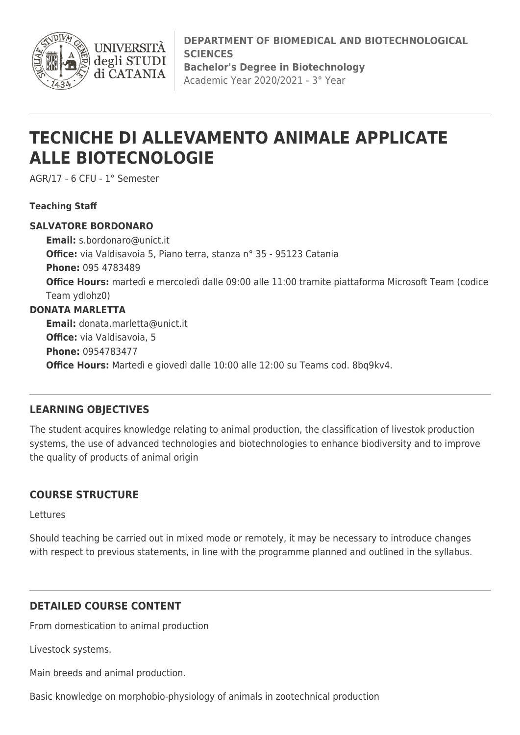

**DEPARTMENT OF BIOMEDICAL AND BIOTECHNOLOGICAL SCIENCES Bachelor's Degree in Biotechnology** Academic Year 2020/2021 - 3° Year

# **TECNICHE DI ALLEVAMENTO ANIMALE APPLICATE ALLE BIOTECNOLOGIE**

AGR/17 - 6 CFU - 1° Semester

#### **Teaching Staff**

#### **SALVATORE BORDONARO**

**Email:** [s.bordonaro@unict.it](mailto:s.bordonaro@unict.it) **Office:** via Valdisavoia 5, Piano terra, stanza n° 35 - 95123 Catania **Phone:** 095 4783489 **Office Hours:** martedì e mercoledì dalle 09:00 alle 11:00 tramite piattaforma Microsoft Team (codice Team ydlohz0) **DONATA MARLETTA Email:** [donata.marletta@unict.it](mailto:donata.marletta@unict.it) **Office:** via Valdisavoia, 5 **Phone:** 0954783477

**Office Hours:** Martedì e giovedì dalle 10:00 alle 12:00 su Teams cod. 8bq9kv4.

### **LEARNING OBJECTIVES**

The student acquires knowledge relating to animal production, the classification of livestok production systems, the use of advanced technologies and biotechnologies to enhance biodiversity and to improve the quality of products of animal origin

### **COURSE STRUCTURE**

Lettures

Should teaching be carried out in mixed mode or remotely, it may be necessary to introduce changes with respect to previous statements, in line with the programme planned and outlined in the syllabus.

## **DETAILED COURSE CONTENT**

From domestication to animal production

Livestock systems.

Main breeds and animal production.

Basic knowledge on morphobio-physiology of animals in zootechnical production